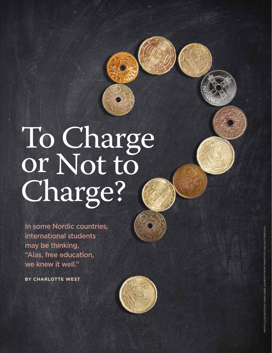# To Charge or Not to Charge?

In some Nordic countries, international students may be thinking, "Alas, free education, we knew it well."

**BY CHARLOTTE WE** 

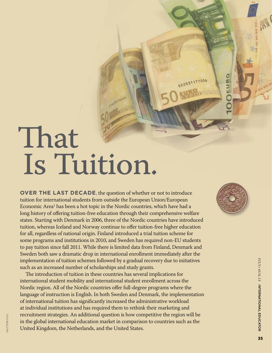# That Is Tuition.

**OVER THE LAST DECADE**, the question of whether or not to introduce tuition for international students from outside the European Union/European Economic Area<sup>1</sup> has been a hot topic in the Nordic countries, which have had a long history of offering tuition-free education through their comprehensive welfare states. Starting with Denmark in 2006, three of the Nordic countries have introduced tuition, whereas Iceland and Norway continue to offer tuition-free higher education for all, regardless of national origin. Finland introduced a trial tuition scheme for some programs and institutions in 2010, and Sweden has required non-EU students to pay tuition since fall 2011. While there is limited data from Finland, Denmark and Sweden both saw a dramatic drop in international enrollment immediately after the implementation of tuition schemes followed by a gradual recovery due to initiatives such as an increased number of scholarships and study grants.

The introduction of tuition in these countries has several implications for international student mobility and international student enrollment across the Nordic region. All of the Nordic countries offer full-degree programs where the language of instruction is English. In both Sweden and Denmark, the implementation of international tuition has significantly increased the administrative workload at individual institutions and has required them to rethink their marketing and recruitment strategies. An additional question is how competitive the region will be in the global international education market in comparison to countries such as the  $\frac{1}{20}$  recruitment strategies. An additional question is now com<br>in the global international education market in compariso:<br>United Kingdom, the Netherlands, and the United States.



**O** 

E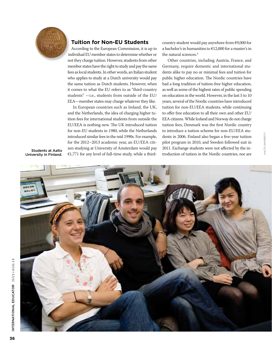

#### **Tuition for Non-EU Students**

According to the European Commission, it is up to individual EU member states to determine whether or not they charge tuition. However, students from other member states have the right to study and pay the same fees as local students. In other words, an Italian student who applies to study at a Dutch university would pay the same tuition as Dutch students. However, when it comes to what the EU refers to as "third-country students" —i.e., students from outside of the EU/ EEA—member states may charge whatever they like.

In European countries such as Ireland, the UK, and the Netherlands, the idea of charging higher tuition fees for international students from outside the EU/EEA is nothing new. The UK introduced tuition for non-EU students in 1980, while the Netherlands introduced similar fees in the mid 1990s. For example, for the 2012–2013 academic year, an EU/EEA citizen studying at University of Amsterdam would pay €1,771 for any level of full-time study, while a thirdcountry student would pay anywhere from €9,000 for a bachelor's in humanities to €12,000 for a master's in the natural sciences.<sup>2</sup>

Other countries, including Austria, France, and Germany, require domestic and international students alike to pay no or minimal fees and tuition for public higher education. The Nordic countries have had a long tradition of tuition-free higher education, as well as some of the highest rates of public spending on education in the world. However, in the last 5 to 10 years, several of the Nordic countries have introduced tuition for non-EU/EEA students, while continuing to offer free education to all their own and other EU/ EEA citizens. While Iceland and Norway do not charge tuition fees, Denmark was the first Nordic country to introduce a tuition scheme for non-EU/EEA students in 2006. Finland also began a five-year tuition pilot program in 2010, and Sweden followed suit in 2011. Exchange students were not affected by the introduction of tuition in the Nordic countries, nor are introduced similar fees in the mid 1990s. For example, dents in 2006. Finland also began a five-year tuition<br>for the 2012–2013 academic year, an EU/EEA citi-<br>gilot program in 2010, and Sweden followed suit in<br>**Students at** 

Students at Aalto<br>University in Finland.

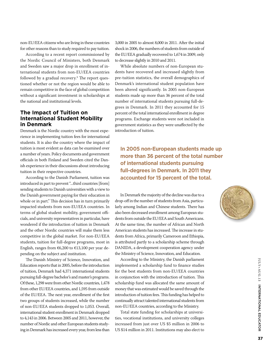non-EU/EEA citizens who are living in these countries for other reasons than to study required to pay tuition.

According to a recent report commissioned by the Nordic Council of Ministers, both Denmark and Sweden saw a major drop in enrollment of international students from non-EU/EEA countries followed by a gradual recovery.<sup>3</sup> The report questioned whether or not the region would be able to remain competitive in the face of global competition without a significant investment in scholarships at the national and institutional levels.

#### **The Impact of Tuition on International Student Mobility in Denmark**

Denmark is the Nordic country with the most experience in implementing tuition fees for international students. It is also the country where the impact of tuition is most evident as data can be examined over a number of years. Policy documents and government officials in both Finland and Sweden cited the Danish experience in their discussions about introducing tuition in their respective countries.

According to the Danish Parliament, tuition was introduced in part to prevent "...third countries [from] sending students to Danish universities with a view to the Danish government paying for their education in whole or in part." This decision has in turn primarily impacted students from non-EU/EEA countries. In terms of global student mobility, government officials, and university representatives in particular, have wondered if the introduction of tuition in Denmark and the other Nordic countries will make them less competitive in the global market. For non-EU/EEA students, tuition for full-degree programs, most in English, ranges from €6,200 to €13,100 per year depending on the subject and institution.

The Danish Ministry of Science, Innovation, and Education reports that in 2005, before the introduction of tuition, Denmark had 4,371 international students pursuing full-degree bachelor's and master's programs. Of these, 1,298 were from other Nordic countries, 1,478 from other EU/EEA countries, and 1,595 from outside of the EU/EEA. The next year, enrollment of the first two groups of students increased, while the number of non-EU/EEA students dropped to 1,053. Overall, international student enrollment in Denmark dropped to 4,143 in 2006. Between 2005 and 2011, however, the number of Nordic and other European students studying in Denmark has increased every year, from less than

3,000 in 2005 to almost 8,000 in 2011. After the initial shock in 2006, the numbers of students from outside of the EU/EEA gradually recovered to 1,674 in 2009, only to decrease slightly in 2010 and 2011.

While absolute numbers of non-European students have recovered and increased slightly from pre-tuition statistics, the overall demographics of Denmark's international student population have been altered significantly. In 2005 non-European students made up more than 36 percent of the total number of international students pursuing full-degrees in Denmark. In 2011 they accounted for 15 percent of the total international enrollment in degree programs. Exchange students were not included in government statistics as they were unaffected by the introduction of tuition.

**In 2005 non-European students made up more than 36 percent of the total number of international students pursuing full-degrees in Denmark. In 2011 they accounted for 15 percent of the total.**

In Denmark the majority of the decline was due to a drop-off in the number of students from Asia, particularly among Indian and Chinese students. There has also been decreased enrollment among European students from outside the EU/EEA and South Americans. At the same time, the number of African and North American students has increased. The increase in students from Africa, primarily Cameroon and Ethiopia, is attributed partly to a scholarship scheme through DANIDA, a development cooperation agency under the Ministry of Science, Innovation, and Education.

According to the Ministry, the Danish parliament implemented a scholarship fund to finance studies for the best students from non-EU/EEA countries in conjunction with the introduction of tuition. This scholarship fund was allocated the same amount of money that was estimated would be saved through the introduction of tuition fees. This funding has helped to continually attract talented international students from non-EU/EEA countries, according to the Ministry.

Total state funding for scholarships at universities, vocational institutions, and university colleges increased from just over US \$5 million in 2006 to US \$14 million in 2011. Institutions may also elect to

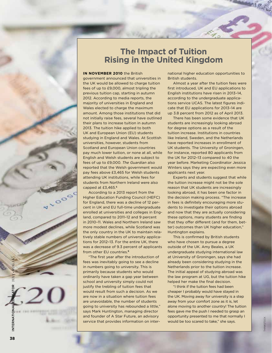

## **The Impact of Tuition Rising in the United Kingdom**

Martin 28

#### **IN NOVEMBER 2010** the British

government announced that universities in the UK would be allowed to charge tuition fees of up to £9,000, almost tripling the previous tuition cap, starting in autumn 2012. According to media reports, the majority of universities in England and Wales elected to charge the maximum amount. Among those institutions that did not initially raise fees, several have outlined their plans to increase tuition in autumn 2013. The tuition hike applied to both UK and European Union (EU) students studying in England and Wales. At Scottish universities, however, students from Scotland and European Union countries pay much lower tuition, or none at all, while English and Welsh students are subject to fees of up to £9,000. *The Guardian* also reported that the Welsh government would pay fees above £3,465 for Welsh students attending UK institutions, while fees for students from Northern Ireland were also capped at £3,465. 5

According to a 2013 report from the Higher Education Funding Council (HEFC) for England, there was a decline of 12 percent in UK and EU full-time undergraduate enrolled at universities and colleges in England, compared to 2011–12 and 9 percent in 2010–11. Wales and Northern Ireland saw more modest declines, while Scotland was the only country in the UK to maintain relatively stable numbers of university applications for 2012–13. For the entire UK, there was a decrease of 9.3 percent of applicants from other EU countries. 6

"The first year after the introduction of fees was inevitably going to see a decline in numbers going to university. This is primarily because students who would ordinarily have taken a gap year between school and university simply could not justify the trebling of tuition fees that would result from such a decision. As we are now in a situation where tuition fees are unavoidable, the number of students going to university has rebounded a little," says Mark Huntington, managing director and founder of A Star Future, an advisory service that provides information on international higher education opportunities to British students.

Almost a year after the tuition fees were first introduced, UK and EU applications to English institutions have risen in 2013–14, according to the undergraduate applications service UCAS. The latest figures indicate that EU applications for 2013–14 are up 3.8 percent from 2012 as of April 2013.

There has been some evidence that UK students are increasingly looking abroad for degree options as a result of the tuition increase. Institutions in countries like Ireland, Sweden, and the Netherlands have reported increases in enrollment of UK students. The University of Groningen, for instance, reported 80 applicants from the UK for 2012–13 compared to 40 the year before. Marketing Coordinator Jessica Winters says they are expecting even more applicants next year.

Experts and students suggest that while the tuition increase might not be the sole reason that UK students are increasingly looking abroad, it has been one factor in the decision making process. "The increase in fees is definitely encouraging more students to investigate their options abroad and now that they are actually considering these options, many students are finding that they offer different (and for them, better) outcomes than UK higher education," Huntington explains.

This is confirmed by British students who have chosen to pursue a degree outside of the UK. Amy Beales, a UK undergraduate studying international law at University of Groningen, says she had already been considering studying in the Netherlands prior to the tuition increase. The initial appeal of studying abroad was the law program at UG, but the tuition hike helped her make the final decision.

"I think if the tuition fees had been cheaper I probably would have stayed in the UK. Moving away for university is a step away from your comfort zone as it is, let alone moving to another country! The tuition fees gave me the push I needed to grasp an opportunity presented to me that normally I would be too scared to take," she says.

thinkstock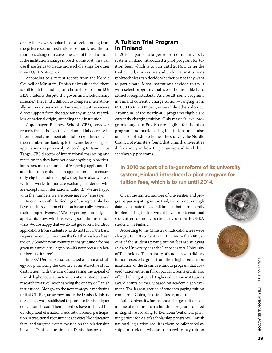create their own scholarships or seek funding from the private sector. Institutions primarily use the tuition fees charged to cover the cost of the education. If the institutions charge more than the cost, they can use these funds to create more scholarships for other non-EU/EEA students.

According to a recent report from the Nordic Council of Ministers, Danish universities feel there is still too little funding for scholarships for non-EU/ EEA students despite the government scholarship scheme.<sup>4</sup> They find it difficult to compete internationally, as universities in other European countries receive direct support from the state for any student, regardless of national origin, attending their institution.

Copenhagen Business School (CBS), however, reports that although they had an initial decrease in international enrollment after tuition was introduced, their numbers are back up to the same level of eligible applications as previously. According to Janie Huus Tange, CBS director of international marketing and recruitment, they have not done anything in particular to increase the number of fee-paying applicants. In addition to introducing an application fee to ensure only eligible students apply, they have also worked with networks to increase exchange students (who are except from international tuition). "We are happy with the numbers we are receiving now," she says.

In contrast with the findings of the report, she believes the introduction of tuition has actually increased their competitiveness. "We are getting more eligible applicants now, which is very good administration wise. We are happy that we do not get several hundred applications from students who do not full fill the basic requirements. Furthermore the fact that we have been the only Scandinavian country to charge tuition fee has given us a unique selling point—it's not necessarily better because it's free."

In 2007 Denmark also launched a national strategy for promoting the country as an attractive study destination, with the aim of increasing the appeal of Danish higher education to international students and researchers as well as enhancing the quality of Danish institutions. Along with the new strategy, a marketing unit at CIRIUS, an agency under the Danish Ministry of Science, was established to promote Danish higher education abroad. Their activities have included the development of a national education brand, participation in traditional recruitment activities like education fairs, and targeted events focused on the relationship between Danish education and Danish business.

#### **A Tuition Trial Program in Finland**

In 2010 as part of a larger reform of its university system, Finland introduced a pilot program for tuition fees, which is to run until 2014. During the trial period, universities and technical institutions (polytechnics) can decide whether or not they want to participate. Most institutions decided to try it with select programs that were the most likely to attract foreign students. As a result, some programs in Finland currently charge tuition—ranging from €5,000 to €12,000 per year—while others do not. Around 40 of the nearly 400 programs eligible are currently charging tuition. Only master's level programs taught in English are eligible for the pilot program, and participating institutions must also offer a scholarship scheme. The study by the Nordic Council of Ministers found that Finnish universities differ widely in how they manage and fund their scholarship programs.

**In 2010 as part of a larger reform of its university system, Finland introduced a pilot program for tuition fees, which is to run until 2014.**

Given the limited number of universities and programs participating in the trial, there is not enough data to estimate the overall impact that permanently implementing tuition would have on international student enrollment, particularly of non-EU/EEA students, in Finland.

According to the Ministry of Education, fees were charged to 110 students in 2011. More than 80 per cent of the students paying tuition fees are studying at Aalto University or at the Lappeenranta University of Technology. The majority of students who did pay tuition received a grant from their higher education institution or the Erasmus Mundus program that covered tuition either in full or partially. Some grants also offered a living stipend. Higher education institutions award grants primarily based on academic achievement. The largest groups of students paying tuition come from China, Pakistan, Russia, and Iran.

Aalto University, for instance, charges tuition fees in nine of its more than a hundred programs offered in English. According to Eva-Lena Wakonen, planning officer for Aalto's scholarship programs, Finnish national legislation requires them to offer scholarships to students who are required to pay tuition



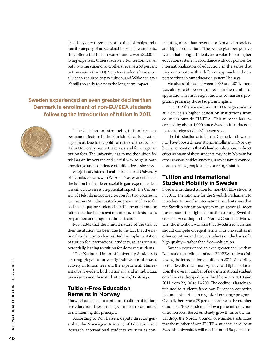fees. They offer three categories of scholarships and a fourth category of no scholarship. For a few students, they offer a full tuition waiver and cover €8,000 in living expenses. Others receive a full tuition waiver but no living stipend, and others receive a 50 percent tuition waiver (€4,000). Very few students have actually been required to pay tuition, and Wakonen says it's still too early to assess the long-term impact.

### **Sweden experienced an even greater decline than Denmark in enrollment of non-EU/EEA students following the introduction of tuition in 2011.**



"The decision on introducing tuition fees as a permanent feature in the Finnish education system is political. Due to the political nature of the decision Aalto University has not taken a stand for or against tuition fees. The university has found the tuition fee trial as an important and useful way to gain both knowledge and experience of tuition fees," she says.

Marjo Posti, international coordinator at University of Helsinki, concurs with Wakonen's assessment in that the tuition trial has been useful to gain experience but it is difficult to assess the potential impact. The University of Helsinki introduced tuition for two courses in its Erasmus Mundus master's programs, and has so far had six fee-paying students in 2012. Income from the tuition fees has been spent on courses, students' thesis preparation and program administration.

Posti adds that the limited nature of the trial at their institution has been due to the fact that the national student union has resisted the implementation of tuition for international students, as it is seen as potentially leading to tuition for domestic students.

"The National Union of University Students is a strong player in university politics and it resists actively all tuition fees and the experiment. This resistance is evident both nationally and in individual universities and their student unions," Posti says.

#### **Tuition-Free Education Remains in Norway**

Norway has elected to continue a tradition of tuitionfree education. The current government is committed to maintaining this principle.

According to Rolf Larsen, deputy director general at the Norwegian Ministry of Education and Research, international students are seen as contributing more than revenue to Norwegian society and higher education. **"**The Norwegian perspective is also that foreign students are a value to our higher education system, in accordance with our policies for internationalizaton of education, in the sense that they contribute with a different approach and new perspectives in our education system," he says.

He also said that between 2009 and 2011, there was almost a 50 percent increase in the number of applications from foreign students to master's programs, primarily those taught in English.

 "In 2012 there were about 8,100 foreign students at Norwegian higher education institutions from countries outside EU/EEA. This number has increased by about 1,000 since Sweden introduced a fee for foreign students," Larsen says.

The introduction of tuition in Denmark and Sweden may have boosted international enrollment in Norway, but Larsen cautions that it's hard to substantiate a direct effect as many of these students may be in Norway for other reasons besides studying, such as family connections, marriage, employment, or refugee status.

### **Tuition and International Student Mobility in Sweden**

Sweden introduced tuition for non-EU/EEA students in 2011. The rationale for the Swedish Parliament to introduce tuition for international students was that the Swedish education system must, above all, meet the demand for higher education among Swedish citizens. According to the Nordic Council of Ministers, the intention was also that Swedish universities should compete on equal terms with universities in other countries and attract students on the basis of a high quality—rather than free—education.

Sweden experienced an even greater decline than Denmark in enrollment of non-EU/EEA students following the introduction of tuition in 2011. According to the Swedish National Agency for Higher Education, the overall number of new international student enrollments dropped by a third between 2010 and 2011 from 22,100 to 14,700. The decline is largely attributed to students from non-European countries that are not part of an organized exchange program. Overall, there was a 79 percent decline in the number of non-EU/EEA students following the introduction of tuition fees. Based on steady growth since the initial drop, the Nordic Council of Ministers estimates that the number of non-EU/EEA students enrolled at Swedish universities will reach around 50 percent of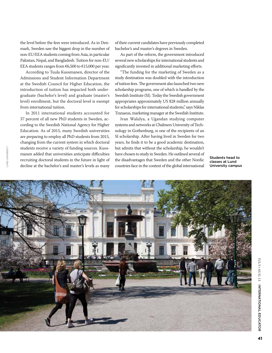the level before the fees were introduced. As in Denmark, Sweden saw the biggest drop in the number of non-EU/EEA students coming from Asia, in particular Pakistan, Nepal, and Bangladesh. Tuition for non-EU/ EEA students ranges from €6,500 to €15,000 per year.

According to Tuula Kuosmanen, director of the Admissions and Student Information Department at the Swedish Council for Higher Education, the introduction of tuition has impacted both undergraduate (bachelor's level) and graduate (master's level) enrollment, but the doctoral level is exempt from international tuition.

In 2011 international students accounted for 37 percent of all new PhD students in Sweden, according to the Swedish National Agency for Higher Education. As of 2015, many Swedish universities are preparing to employ all PhD students from 2015, changing from the current system in which doctoral students receive a variety of funding sources. Kuosmanen added that universities anticipate difficulties recruiting doctoral students in the future in light of decline at the bachelor's and master's levels as many

of their current candidates have previously completed bachelor's and master's degrees in Sweden.

As part of the reform, the government introduced several new scholarships for international students and significantly invested in additional marketing efforts.

"The funding for the marketing of Sweden as a study destination was doubled with the introduction of tuition fees. The government also launched two new scholarship programs, one of which is handled by the Swedish Institute (SI). Today the Swedish government appropriates approximately US \$28 million annually for scholarships for international students," says Niklas Tranaeus, marketing manager at the Swedish Institute.

Ivan Walulya, a Ugandan studying computer systems and networks at Chalmers University of Technology in Gothenburg, is one of the recipients of an SI scholarship. After having lived in Sweden for two years, he finds it to be a good academic destination, but admits that without the scholarship, he wouldn't have chosen to study in Sweden. He outlined several of the disadvantages that Sweden and the other Nordic countries face in the context of the global international

Students head to classes at Lund University campus

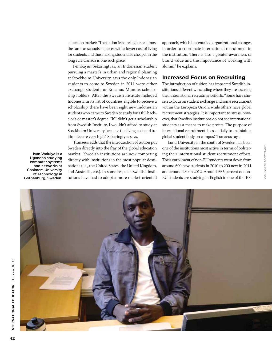education market: "The tuition fees are higher or almost the same as schools in places with a lower cost of living for students and thus making student life cheaper in the long run. Canada is one such place."

Pembayun Sekaringtyas, an Indonesian student pursuing a master's in urban and regional planning at Stockholm University, says the only Indonesian students to come to Sweden in 2011 were either exchange students or Erasmus Mundus scholarship holders. After the Swedish Institute included Indonesia in its list of countries eligible to receive a scholarship, there have been eight new Indonesian students who came to Sweden to study for a full bachelor's or master's degree. "If I didn't get a scholarship from Swedish Institute, I wouldn't afford to study at Stockholm University because the living cost and tuition fee are very high," Sekaringtyas says.

Tranaeus adds that the introduction of tuition put Sweden directly into the fray of the global education market. "Swedish institutions are now competing directly with institutions in the most popular destinations (i.e., the United States, the United Kingdom, and Australia, etc.). In some respects Swedish institutions have had to adopt a more market-oriented

approach, which has entailed organizational changes in order to coordinate international recruitment in the institution. There is also a greater awareness of brand value and the importance of working with alumni," he explains.

#### **Increased Focus on Recruiting**

The introduction of tuition has impacted Swedish institutions differently, including where they are focusing their international recruitment efforts. "Some have chosen to focus on student exchange and some recruitment within the European Union, while others have global recruitment strategies. It is important to stress, however, that Swedish institutions do not see international students as a means to make profits. The purpose of international recruitment is essentially to maintain a global student body on campus," Tranaeus says.

Lund University in the south of Sweden has been one of the institutions most active in terms of bolstering their international student recruitment efforts. Their enrollment of non-EU students went down from around 600 new students in 2010 to 200 new in 2011 and around 230 in 2012. Around 99.5 percent of non-EU students are studying in English in one of the 100

courtesy of ivan

COURTESY OF IVAN WALULYA

walulya